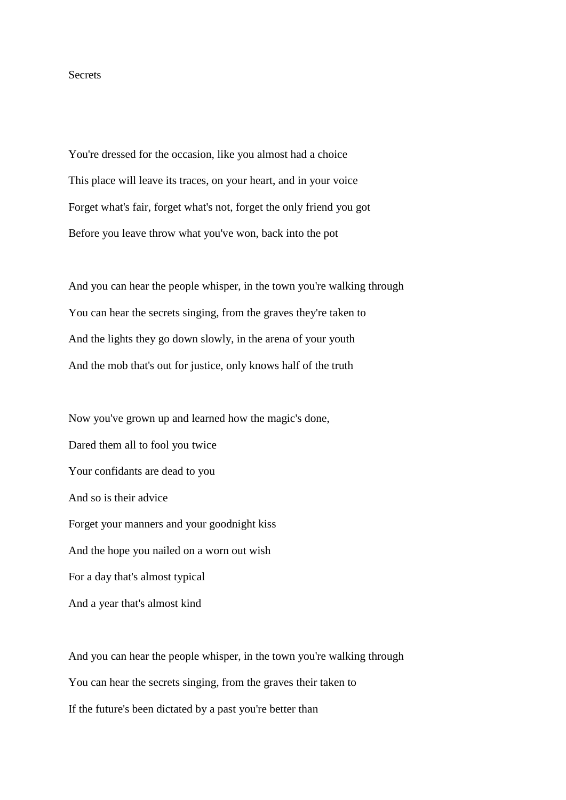## **Secrets**

You're dressed for the occasion, like you almost had a choice This place will leave its traces, on your heart, and in your voice Forget what's fair, forget what's not, forget the only friend you got Before you leave throw what you've won, back into the pot

And you can hear the people whisper, in the town you're walking through You can hear the secrets singing, from the graves they're taken to And the lights they go down slowly, in the arena of your youth And the mob that's out for justice, only knows half of the truth

Now you've grown up and learned how the magic's done, Dared them all to fool you twice Your confidants are dead to you And so is their advice Forget your manners and your goodnight kiss And the hope you nailed on a worn out wish For a day that's almost typical And a year that's almost kind

And you can hear the people whisper, in the town you're walking through You can hear the secrets singing, from the graves their taken to If the future's been dictated by a past you're better than